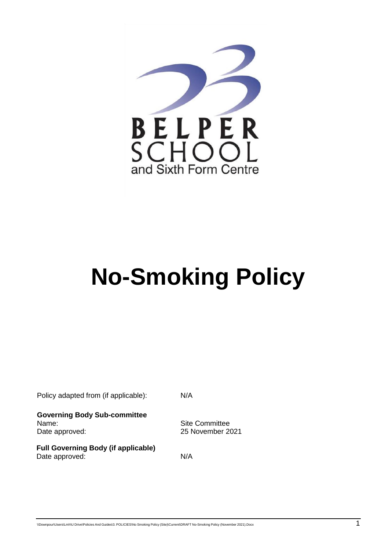

# **No-Smoking Policy**

| Policy adapted from (if applicable):                           | N/A                                |
|----------------------------------------------------------------|------------------------------------|
| <b>Governing Body Sub-committee</b><br>Name:<br>Date approved: | Site Committee<br>25 November 2021 |
| <b>Full Governing Body (if applicable)</b><br>Date approved:   | N/A                                |

\\Downpour\Users\Lmh\U Drive\Policies And Guides\3. POLICIES\No Smoking Policy (Site)\Current\DRAFT No-Smoking Policy (November 2021).Docx 1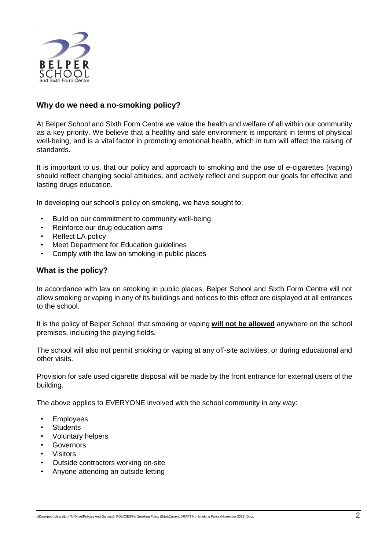

## **Why do we need a no-smoking policy?**

At Belper School and Sixth Form Centre we value the health and welfare of all within our community as a key priority. We believe that a healthy and safe environment is important in terms of physical well-being, and is a vital factor in promoting emotional health, which in turn will affect the raising of standards.

It is important to us, that our policy and approach to smoking and the use of e-cigarettes (vaping) should reflect changing social attitudes, and actively reflect and support our goals for effective and lasting drugs education.

In developing our school's policy on smoking, we have sought to:

- Build on our commitment to community well-being
- Reinforce our drug education aims
- Reflect LA policy
- Meet Department for Education guidelines
- Comply with the law on smoking in public places

### **What is the policy?**

In accordance with law on smoking in public places, Belper School and Sixth Form Centre will not allow smoking or vaping in any of its buildings and notices to this effect are displayed at all entrances to the school.

It is the policy of Belper School, that smoking or vaping **will not be allowed** anywhere on the school premises, including the playing fields.

The school will also not permit smoking or vaping at any off-site activities, or during educational and other visits.

Provision for safe used cigarette disposal will be made by the front entrance for external users of the building.

The above applies to EVERYONE involved with the school community in any way:

- **Employees**
- **Students**
- Voluntary helpers
- **Governors**
- **Visitors**
- Outside contractors working on-site
- Anyone attending an outside letting